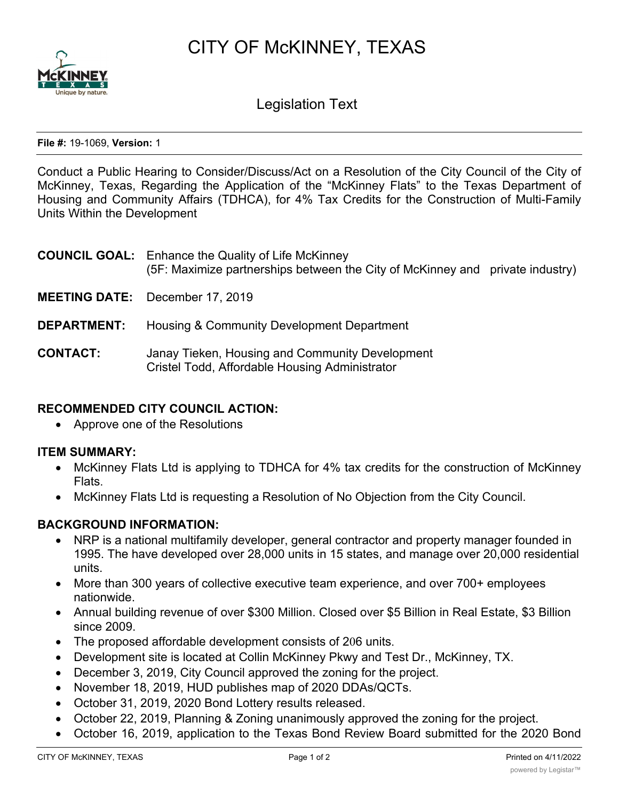CITY OF McKINNEY, TEXAS



Legislation Text

**File #:** 19-1069, **Version:** 1

Conduct a Public Hearing to Consider/Discuss/Act on a Resolution of the City Council of the City of McKinney, Texas, Regarding the Application of the "McKinney Flats" to the Texas Department of Housing and Community Affairs (TDHCA), for 4% Tax Credits for the Construction of Multi-Family Units Within the Development

|                    | <b>COUNCIL GOAL:</b> Enhance the Quality of Life McKinney<br>(5F: Maximize partnerships between the City of McKinney and private industry) |
|--------------------|--------------------------------------------------------------------------------------------------------------------------------------------|
|                    | <b>MEETING DATE:</b> December 17, 2019                                                                                                     |
| <b>DEPARTMENT:</b> | Housing & Community Development Department                                                                                                 |
|                    |                                                                                                                                            |

# **CONTACT:** Janay Tieken, Housing and Community Development Cristel Todd, Affordable Housing Administrator

## **RECOMMENDED CITY COUNCIL ACTION:**

· Approve one of the Resolutions

## **ITEM SUMMARY:**

- McKinney Flats Ltd is applying to TDHCA for 4% tax credits for the construction of McKinney Flats.
- · McKinney Flats Ltd is requesting a Resolution of No Objection from the City Council.

## **BACKGROUND INFORMATION:**

- · NRP is a national multifamily developer, general contractor and property manager founded in 1995. The have developed over 28,000 units in 15 states, and manage over 20,000 residential units.
- More than 300 years of collective executive team experience, and over 700+ employees nationwide.
- · Annual building revenue of over \$300 Million. Closed over \$5 Billion in Real Estate, \$3 Billion since 2009.
- · The proposed affordable development consists of 206 units.
- · Development site is located at Collin McKinney Pkwy and Test Dr., McKinney, TX.
- · December 3, 2019, City Council approved the zoning for the project.
- · November 18, 2019, HUD publishes map of 2020 DDAs/QCTs.
- · October 31, 2019, 2020 Bond Lottery results released.
- October 22, 2019, Planning & Zoning unanimously approved the zoning for the project.
- · October 16, 2019, application to the Texas Bond Review Board submitted for the 2020 Bond